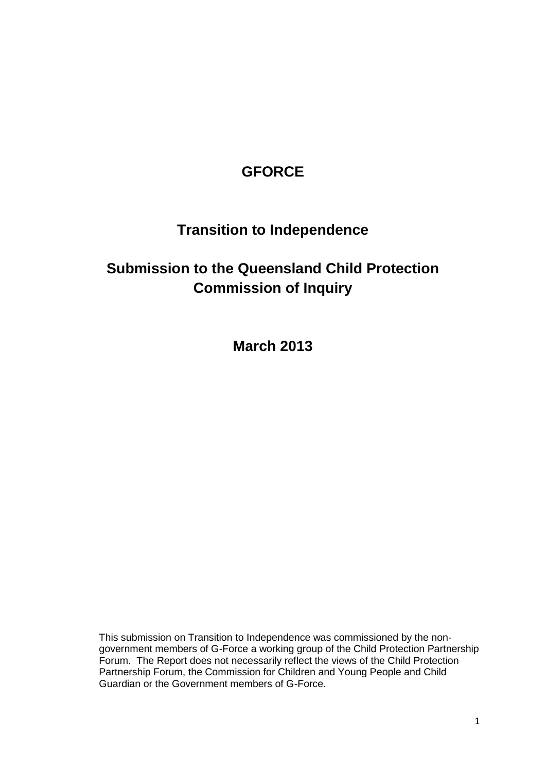## **GFORCE**

# **Transition to Independence**

# **Submission to the Queensland Child Protection Commission of Inquiry**

**March 2013**

This submission on Transition to Independence was commissioned by the nongovernment members of G-Force a working group of the Child Protection Partnership Forum. The Report does not necessarily reflect the views of the Child Protection Partnership Forum, the Commission for Children and Young People and Child Guardian or the Government members of G-Force.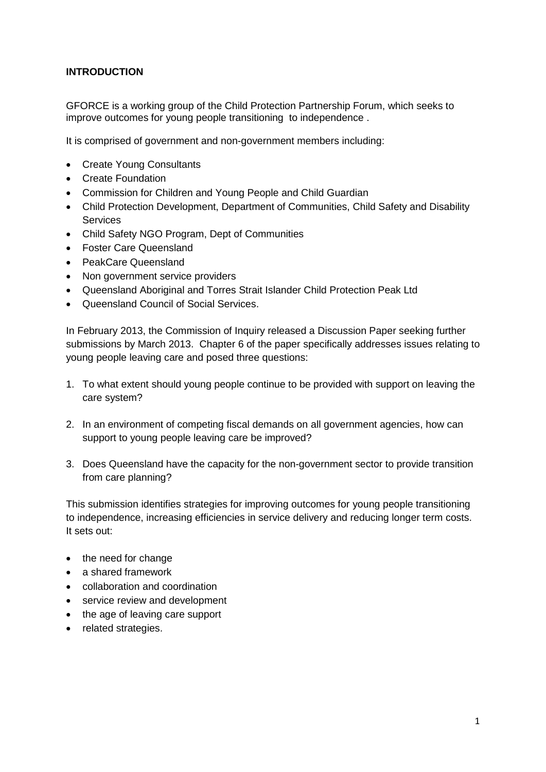## **INTRODUCTION**

GFORCE is a working group of the Child Protection Partnership Forum, which seeks to improve outcomes for young people transitioning to independence .

It is comprised of government and non-government members including:

- Create Young Consultants
- Create Foundation
- Commission for Children and Young People and Child Guardian
- Child Protection Development, Department of Communities, Child Safety and Disability Services
- Child Safety NGO Program, Dept of Communities
- Foster Care Queensland
- PeakCare Queensland
- Non government service providers
- Queensland Aboriginal and Torres Strait Islander Child Protection Peak Ltd
- Queensland Council of Social Services.

In February 2013, the Commission of Inquiry released a Discussion Paper seeking further submissions by March 2013. Chapter 6 of the paper specifically addresses issues relating to young people leaving care and posed three questions:

- 1. To what extent should young people continue to be provided with support on leaving the care system?
- 2. In an environment of competing fiscal demands on all government agencies, how can support to young people leaving care be improved?
- 3. Does Queensland have the capacity for the non-government sector to provide transition from care planning?

This submission identifies strategies for improving outcomes for young people transitioning to independence, increasing efficiencies in service delivery and reducing longer term costs. It sets out:

- the need for change
- a shared framework
- collaboration and coordination
- service review and development
- the age of leaving care support
- related strategies.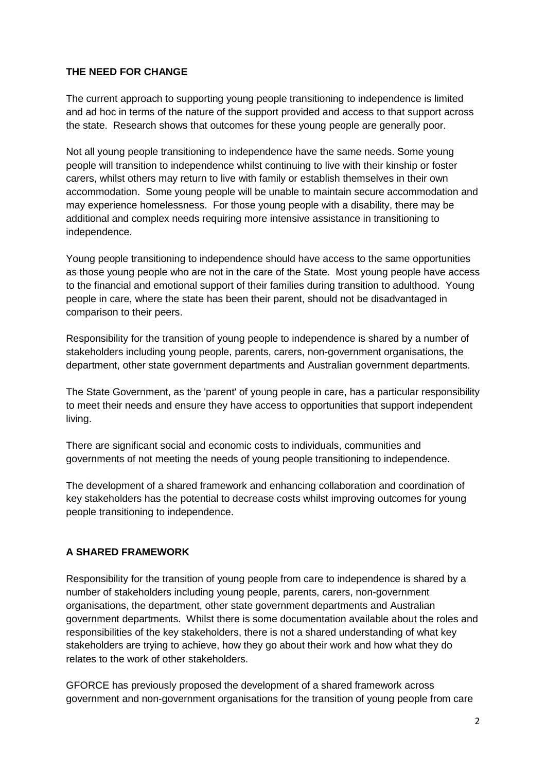## **THE NEED FOR CHANGE**

The current approach to supporting young people transitioning to independence is limited and ad hoc in terms of the nature of the support provided and access to that support across the state. Research shows that outcomes for these young people are generally poor.

Not all young people transitioning to independence have the same needs. Some young people will transition to independence whilst continuing to live with their kinship or foster carers, whilst others may return to live with family or establish themselves in their own accommodation. Some young people will be unable to maintain secure accommodation and may experience homelessness. For those young people with a disability, there may be additional and complex needs requiring more intensive assistance in transitioning to independence.

Young people transitioning to independence should have access to the same opportunities as those young people who are not in the care of the State. Most young people have access to the financial and emotional support of their families during transition to adulthood. Young people in care, where the state has been their parent, should not be disadvantaged in comparison to their peers.

Responsibility for the transition of young people to independence is shared by a number of stakeholders including young people, parents, carers, non-government organisations, the department, other state government departments and Australian government departments.

The State Government, as the 'parent' of young people in care, has a particular responsibility to meet their needs and ensure they have access to opportunities that support independent living.

There are significant social and economic costs to individuals, communities and governments of not meeting the needs of young people transitioning to independence.

The development of a shared framework and enhancing collaboration and coordination of key stakeholders has the potential to decrease costs whilst improving outcomes for young people transitioning to independence.

## **A SHARED FRAMEWORK**

Responsibility for the transition of young people from care to independence is shared by a number of stakeholders including young people, parents, carers, non-government organisations, the department, other state government departments and Australian government departments. Whilst there is some documentation available about the roles and responsibilities of the key stakeholders, there is not a shared understanding of what key stakeholders are trying to achieve, how they go about their work and how what they do relates to the work of other stakeholders.

GFORCE has previously proposed the development of a shared framework across government and non-government organisations for the transition of young people from care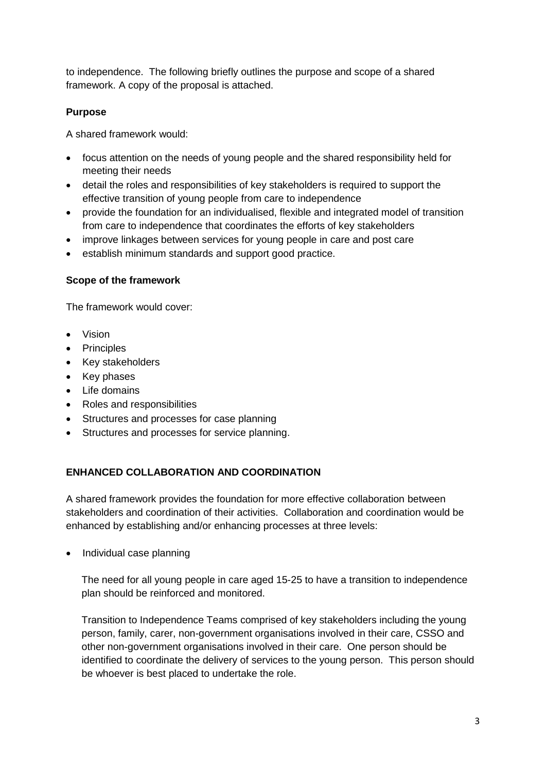to independence. The following briefly outlines the purpose and scope of a shared framework. A copy of the proposal is attached.

## **Purpose**

A shared framework would:

- focus attention on the needs of young people and the shared responsibility held for meeting their needs
- detail the roles and responsibilities of key stakeholders is required to support the effective transition of young people from care to independence
- provide the foundation for an individualised, flexible and integrated model of transition from care to independence that coordinates the efforts of key stakeholders
- improve linkages between services for young people in care and post care
- establish minimum standards and support good practice.

## **Scope of the framework**

The framework would cover:

- Vision
- Principles
- Key stakeholders
- Key phases
- Life domains
- Roles and responsibilities
- Structures and processes for case planning
- Structures and processes for service planning.

## **ENHANCED COLLABORATION AND COORDINATION**

A shared framework provides the foundation for more effective collaboration between stakeholders and coordination of their activities. Collaboration and coordination would be enhanced by establishing and/or enhancing processes at three levels:

• Individual case planning

The need for all young people in care aged 15-25 to have a transition to independence plan should be reinforced and monitored.

Transition to Independence Teams comprised of key stakeholders including the young person, family, carer, non-government organisations involved in their care, CSSO and other non-government organisations involved in their care. One person should be identified to coordinate the delivery of services to the young person. This person should be whoever is best placed to undertake the role.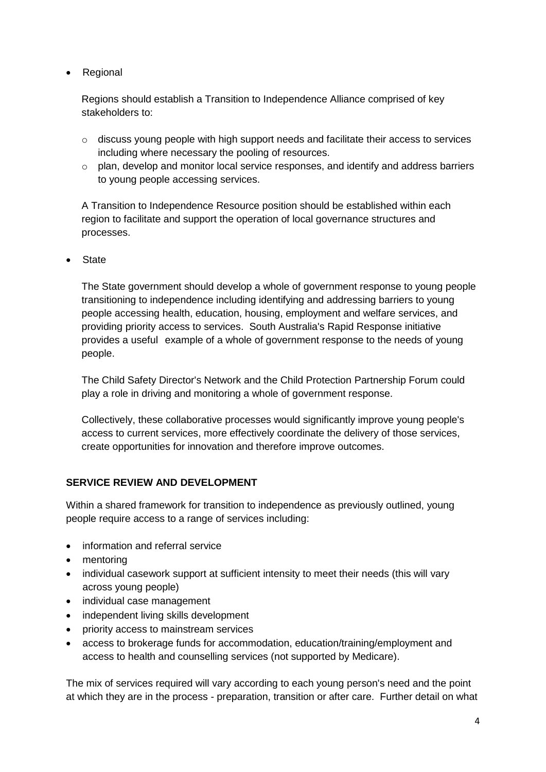• Regional

Regions should establish a Transition to Independence Alliance comprised of key stakeholders to:

- $\circ$  discuss young people with high support needs and facilitate their access to services including where necessary the pooling of resources.
- o plan, develop and monitor local service responses, and identify and address barriers to young people accessing services.

A Transition to Independence Resource position should be established within each region to facilitate and support the operation of local governance structures and processes.

State

The State government should develop a whole of government response to young people transitioning to independence including identifying and addressing barriers to young people accessing health, education, housing, employment and welfare services, and providing priority access to services. South Australia's Rapid Response initiative provides a useful example of a whole of government response to the needs of young people.

The Child Safety Director's Network and the Child Protection Partnership Forum could play a role in driving and monitoring a whole of government response.

Collectively, these collaborative processes would significantly improve young people's access to current services, more effectively coordinate the delivery of those services, create opportunities for innovation and therefore improve outcomes.

#### **SERVICE REVIEW AND DEVELOPMENT**

Within a shared framework for transition to independence as previously outlined, young people require access to a range of services including:

- information and referral service
- mentoring
- individual casework support at sufficient intensity to meet their needs (this will vary across young people)
- individual case management
- independent living skills development
- priority access to mainstream services
- access to brokerage funds for accommodation, education/training/employment and access to health and counselling services (not supported by Medicare).

The mix of services required will vary according to each young person's need and the point at which they are in the process - preparation, transition or after care. Further detail on what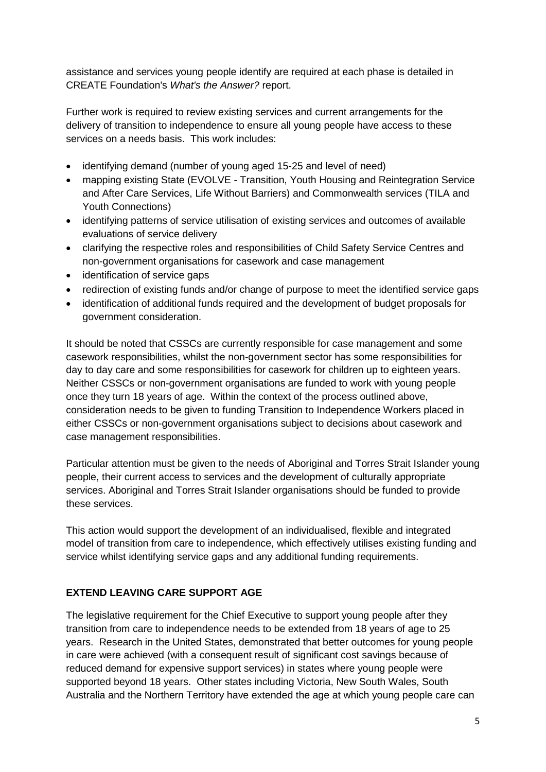assistance and services young people identify are required at each phase is detailed in CREATE Foundation's *What's the Answer?* report.

Further work is required to review existing services and current arrangements for the delivery of transition to independence to ensure all young people have access to these services on a needs basis. This work includes:

- identifying demand (number of young aged 15-25 and level of need)
- mapping existing State (EVOLVE Transition, Youth Housing and Reintegration Service and After Care Services, Life Without Barriers) and Commonwealth services (TILA and Youth Connections)
- identifying patterns of service utilisation of existing services and outcomes of available evaluations of service delivery
- clarifying the respective roles and responsibilities of Child Safety Service Centres and non-government organisations for casework and case management
- identification of service gaps
- redirection of existing funds and/or change of purpose to meet the identified service gaps
- identification of additional funds required and the development of budget proposals for government consideration.

It should be noted that CSSCs are currently responsible for case management and some casework responsibilities, whilst the non-government sector has some responsibilities for day to day care and some responsibilities for casework for children up to eighteen years. Neither CSSCs or non-government organisations are funded to work with young people once they turn 18 years of age. Within the context of the process outlined above, consideration needs to be given to funding Transition to Independence Workers placed in either CSSCs or non-government organisations subject to decisions about casework and case management responsibilities.

Particular attention must be given to the needs of Aboriginal and Torres Strait Islander young people, their current access to services and the development of culturally appropriate services. Aboriginal and Torres Strait Islander organisations should be funded to provide these services.

This action would support the development of an individualised, flexible and integrated model of transition from care to independence, which effectively utilises existing funding and service whilst identifying service gaps and any additional funding requirements.

## **EXTEND LEAVING CARE SUPPORT AGE**

The legislative requirement for the Chief Executive to support young people after they transition from care to independence needs to be extended from 18 years of age to 25 years. Research in the United States, demonstrated that better outcomes for young people in care were achieved (with a consequent result of significant cost savings because of reduced demand for expensive support services) in states where young people were supported beyond 18 years. Other states including Victoria, New South Wales, South Australia and the Northern Territory have extended the age at which young people care can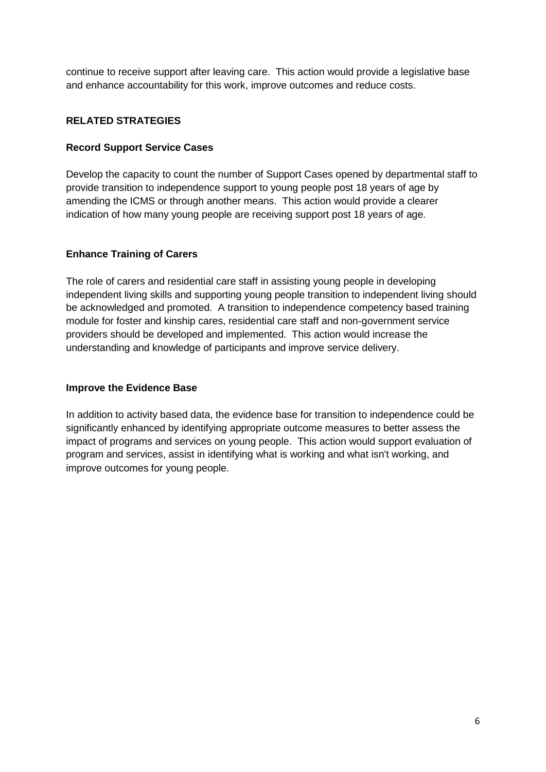continue to receive support after leaving care. This action would provide a legislative base and enhance accountability for this work, improve outcomes and reduce costs.

## **RELATED STRATEGIES**

## **Record Support Service Cases**

Develop the capacity to count the number of Support Cases opened by departmental staff to provide transition to independence support to young people post 18 years of age by amending the ICMS or through another means. This action would provide a clearer indication of how many young people are receiving support post 18 years of age.

## **Enhance Training of Carers**

The role of carers and residential care staff in assisting young people in developing independent living skills and supporting young people transition to independent living should be acknowledged and promoted. A transition to independence competency based training module for foster and kinship cares, residential care staff and non-government service providers should be developed and implemented. This action would increase the understanding and knowledge of participants and improve service delivery.

## **Improve the Evidence Base**

In addition to activity based data, the evidence base for transition to independence could be significantly enhanced by identifying appropriate outcome measures to better assess the impact of programs and services on young people. This action would support evaluation of program and services, assist in identifying what is working and what isn't working, and improve outcomes for young people.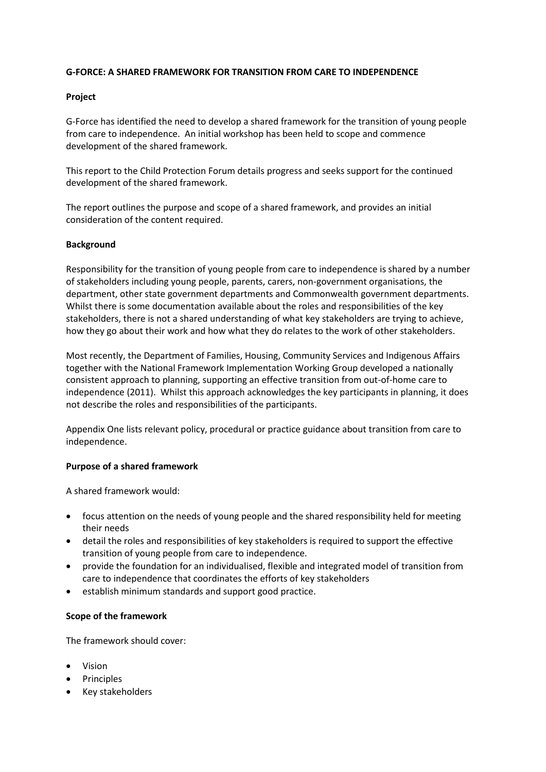#### **G-FORCE: A SHARED FRAMEWORK FOR TRANSITION FROM CARE TO INDEPENDENCE**

#### **Project**

G-Force has identified the need to develop a shared framework for the transition of young people from care to independence. An initial workshop has been held to scope and commence development of the shared framework.

This report to the Child Protection Forum details progress and seeks support for the continued development of the shared framework.

The report outlines the purpose and scope of a shared framework, and provides an initial consideration of the content required.

#### **Background**

Responsibility for the transition of young people from care to independence is shared by a number of stakeholders including young people, parents, carers, non-government organisations, the department, other state government departments and Commonwealth government departments. Whilst there is some documentation available about the roles and responsibilities of the key stakeholders, there is not a shared understanding of what key stakeholders are trying to achieve, how they go about their work and how what they do relates to the work of other stakeholders.

Most recently, the Department of Families, Housing, Community Services and Indigenous Affairs together with the National Framework Implementation Working Group developed a nationally consistent approach to planning, supporting an effective transition from out-of-home care to independence (2011). Whilst this approach acknowledges the key participants in planning, it does not describe the roles and responsibilities of the participants.

Appendix One lists relevant policy, procedural or practice guidance about transition from care to independence.

#### **Purpose of a shared framework**

A shared framework would:

- focus attention on the needs of young people and the shared responsibility held for meeting their needs
- detail the roles and responsibilities of key stakeholders is required to support the effective transition of young people from care to independence.
- provide the foundation for an individualised, flexible and integrated model of transition from care to independence that coordinates the efforts of key stakeholders
- establish minimum standards and support good practice.

#### **Scope of the framework**

The framework should cover:

- Vision
- Principles
- Key stakeholders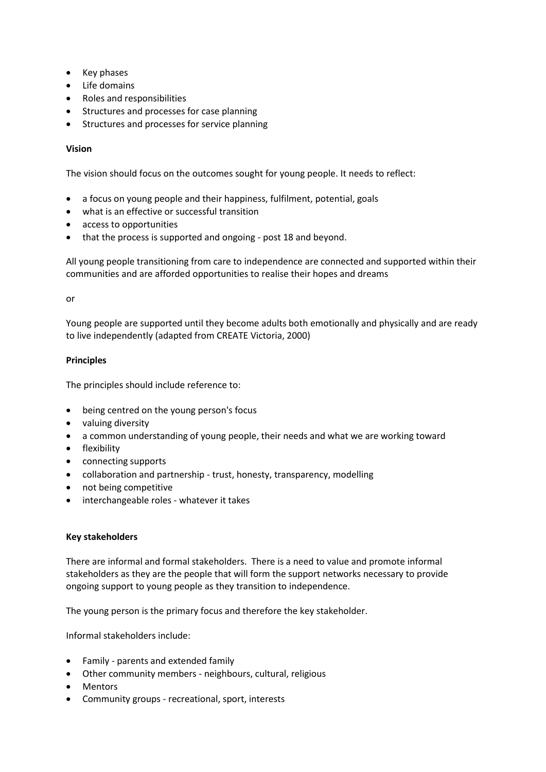- Key phases
- Life domains
- Roles and responsibilities
- Structures and processes for case planning
- Structures and processes for service planning

#### **Vision**

The vision should focus on the outcomes sought for young people. It needs to reflect:

- a focus on young people and their happiness, fulfilment, potential, goals
- what is an effective or successful transition
- access to opportunities
- that the process is supported and ongoing post 18 and beyond.

All young people transitioning from care to independence are connected and supported within their communities and are afforded opportunities to realise their hopes and dreams

or

Young people are supported until they become adults both emotionally and physically and are ready to live independently (adapted from CREATE Victoria, 2000)

#### **Principles**

The principles should include reference to:

- being centred on the young person's focus
- valuing diversity
- a common understanding of young people, their needs and what we are working toward
- flexibility
- connecting supports
- collaboration and partnership trust, honesty, transparency, modelling
- not being competitive
- interchangeable roles whatever it takes

#### **Key stakeholders**

There are informal and formal stakeholders. There is a need to value and promote informal stakeholders as they are the people that will form the support networks necessary to provide ongoing support to young people as they transition to independence.

The young person is the primary focus and therefore the key stakeholder.

Informal stakeholders include:

- Family parents and extended family
- Other community members neighbours, cultural, religious
- Mentors
- Community groups recreational, sport, interests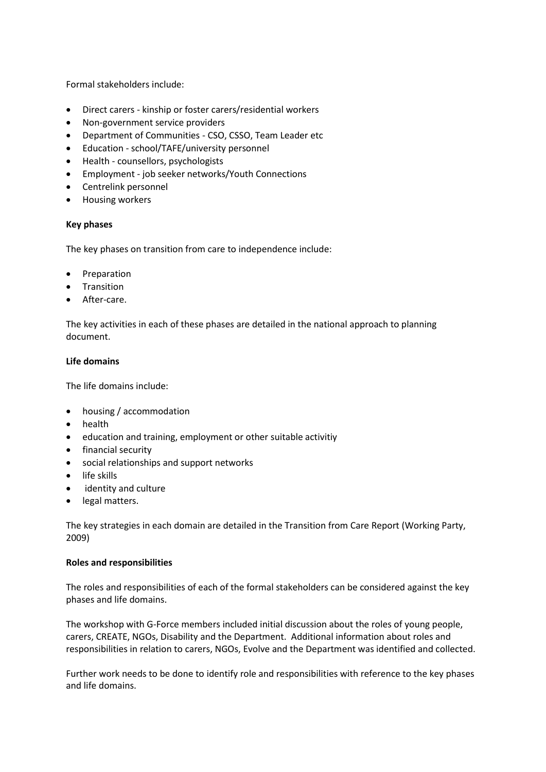Formal stakeholders include:

- Direct carers kinship or foster carers/residential workers
- Non-government service providers
- Department of Communities CSO, CSSO, Team Leader etc
- Education school/TAFE/university personnel
- Health counsellors, psychologists
- Employment job seeker networks/Youth Connections
- Centrelink personnel
- Housing workers

#### **Key phases**

The key phases on transition from care to independence include:

- Preparation
- Transition
- After-care.

The key activities in each of these phases are detailed in the national approach to planning document.

#### **Life domains**

The life domains include:

- housing / accommodation
- health
- education and training, employment or other suitable activitiy
- financial security
- social relationships and support networks
- life skills
- identity and culture
- legal matters.

The key strategies in each domain are detailed in the Transition from Care Report (Working Party, 2009)

#### **Roles and responsibilities**

The roles and responsibilities of each of the formal stakeholders can be considered against the key phases and life domains.

The workshop with G-Force members included initial discussion about the roles of young people, carers, CREATE, NGOs, Disability and the Department. Additional information about roles and responsibilities in relation to carers, NGOs, Evolve and the Department was identified and collected.

Further work needs to be done to identify role and responsibilities with reference to the key phases and life domains.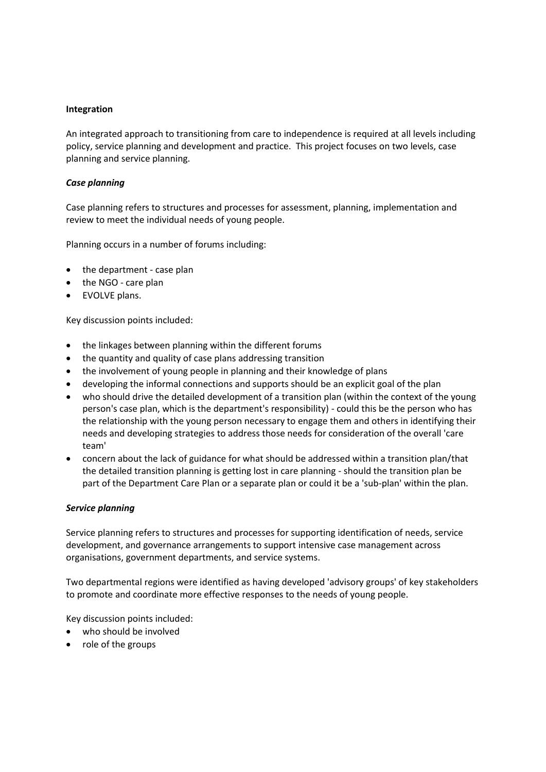#### **Integration**

An integrated approach to transitioning from care to independence is required at all levels including policy, service planning and development and practice. This project focuses on two levels, case planning and service planning.

#### *Case planning*

Case planning refers to structures and processes for assessment, planning, implementation and review to meet the individual needs of young people.

Planning occurs in a number of forums including:

- the department case plan
- the NGO care plan
- EVOLVE plans.

Key discussion points included:

- the linkages between planning within the different forums
- the quantity and quality of case plans addressing transition
- the involvement of young people in planning and their knowledge of plans
- developing the informal connections and supports should be an explicit goal of the plan
- who should drive the detailed development of a transition plan (within the context of the young person's case plan, which is the department's responsibility) - could this be the person who has the relationship with the young person necessary to engage them and others in identifying their needs and developing strategies to address those needs for consideration of the overall 'care team'
- concern about the lack of guidance for what should be addressed within a transition plan/that the detailed transition planning is getting lost in care planning - should the transition plan be part of the Department Care Plan or a separate plan or could it be a 'sub-plan' within the plan.

#### *Service planning*

Service planning refers to structures and processes for supporting identification of needs, service development, and governance arrangements to support intensive case management across organisations, government departments, and service systems.

Two departmental regions were identified as having developed 'advisory groups' of key stakeholders to promote and coordinate more effective responses to the needs of young people.

Key discussion points included:

- who should be involved
- role of the groups